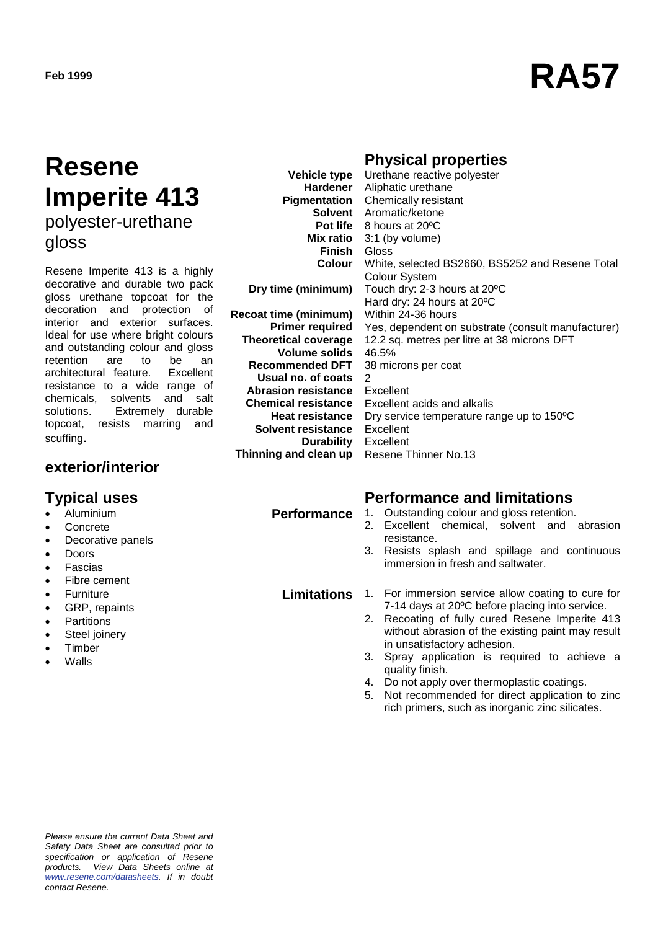# **Feb <sup>1999</sup> RA57**

### **Resene Imperite 413** polyester-urethane

gloss

Resene Imperite 413 is a highly decorative and durable two pack gloss urethane topcoat for the decoration and protection of interior and exterior surfaces. Ideal for use where bright colours and outstanding colour and gloss retention are to be an<br>architectural feature. Excellent architectural feature. resistance to a wide range of chemicals, solvents and salt solutions. Extremely durable topcoat, resists marring and scuffing.

#### **exterior/interior**

- Aluminium
- **Concrete**
- Decorative panels
- Doors
- **Fascias**
- Fibre cement
- Furniture
- GRP, repaints
- **Partitions**
- Steel joinery
- **Timber**
- Walls

### **Physical properties**

**Vehicle type Hardener** Aliphatic urethane **Pigmentation** Chemically resistant **Solvent** Aromatic/ketone **Pot life** 8 hours at 20ºC **Mix ratio** 3:1 (by volume) **Finish** Gloss **Colour Dry time (minimum) Recoat time (minimum) Primer required Theoretical coverage Volume solids Recommended DFT Usual no. of coats Abrasion resistance Chemical resistance Heat resistance Solvent resistance Durability Thinning and clean up** Urethane reactive polyester White, selected BS2660, BS5252 and Resene Total Colour System Touch dry: 2-3 hours at 20ºC Hard dry: 24 hours at 20ºC Within 24-36 hours Yes, dependent on substrate (consult manufacturer) 12.2 sq. metres per litre at 38 microns DFT 46.5% 38 microns per coat 2 Excellent Excellent acids and alkalis Dry service temperature range up to 150ºC Excellent Excellent Resene Thinner No.13

**Typical uses Performance and limitations**

- **Performance** 1. Outstanding colour and gloss retention. 2. Excellent chemical, solvent and abrasion resistance.
	- 3. Resists splash and spillage and continuous immersion in fresh and saltwater.

- **Limitations** 1. For immersion service allow coating to cure for 7-14 days at 20ºC before placing into service.
	- 2. Recoating of fully cured Resene Imperite 413 without abrasion of the existing paint may result in unsatisfactory adhesion.
	- 3. Spray application is required to achieve a quality finish.
	- 4. Do not apply over thermoplastic coatings.
	- 5. Not recommended for direct application to zinc rich primers, such as inorganic zinc silicates.